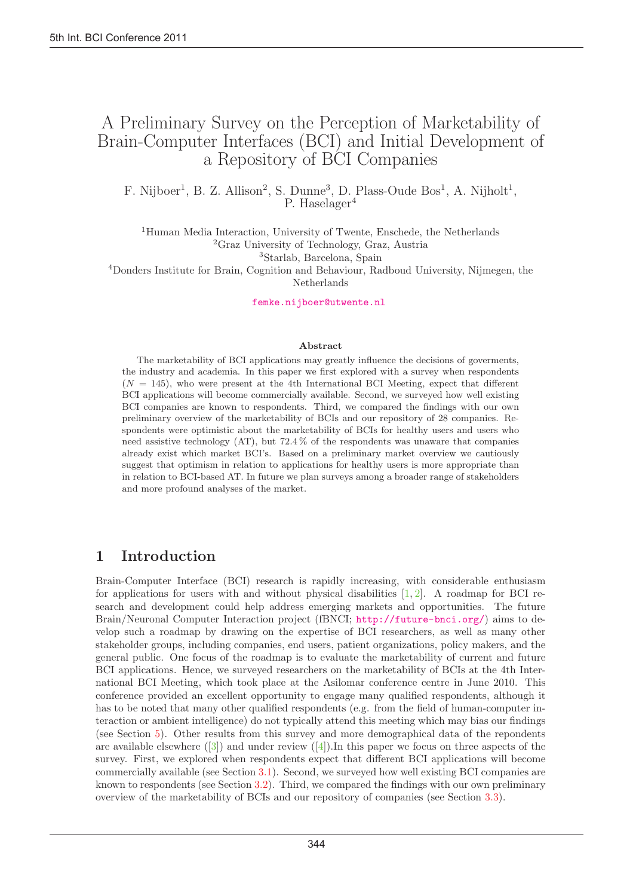# A Preliminary Survey on the Perception of Marketability of Brain-Computer Interfaces (BCI) and Initial Development of a Repository of BCI Companies

F. Nijboer<sup>1</sup>, B. Z. Allison<sup>2</sup>, S. Dunne<sup>3</sup>, D. Plass-Oude Bos<sup>1</sup>, A. Nijholt<sup>1</sup>, P. Haselager<sup>4</sup>

<sup>1</sup>Human Media Interaction, University of Twente, Enschede, the Netherlands <sup>2</sup>Graz University of Technology, Graz, Austria <sup>3</sup>Starlab, Barcelona, Spain

<sup>4</sup>Donders Institute for Brain, Cognition and Behaviour, Radboud University, Nijmegen, the Netherlands

femke.nijboer@utwente.nl

#### Abstract

The marketability of BCI applications may greatly influence the decisions of goverments, the industry and academia. In this paper we first explored with a survey when respondents  $(N = 145)$ , who were present at the 4th International BCI Meeting, expect that different BCI applications will become commercially available. Second, we surveyed how well existing BCI companies are known to respondents. Third, we compared the findings with our own preliminary overview of the marketability of BCIs and our repository of 28 companies. Respondents were optimistic about the marketability of BCIs for healthy users and users who need assistive technology (AT), but 72.4 % of the respondents was unaware that companies already exist which market BCI's. Based on a preliminary market overview we cautiously suggest that optimism in relation to applications for healthy users is more appropriate than in relation to BCI-based AT. In future we plan surveys among a broader range of stakeholders and more profound analyses of the market.

### 1 Introduction

Brain-Computer Interface (BCI) research is rapidly increasing, with considerable enthusiasm for applications for users with and without physical disabilities  $[1, 2]$ . A roadmap for BCI research and development could help address emerging markets and opportunities. The future Brain/Neuronal Computer Interaction project (fBNCI; http://future-bnci.org/) aims to develop such a roadmap by drawing on the expertise of BCI researchers, as well as many other stakeholder groups, including companies, end users, patient organizations, policy makers, and the general public. One focus of the roadmap is to evaluate the marketability of current and future BCI applications. Hence, we surveyed researchers on the marketability of BCIs at the 4th International BCI Meeting, which took place at the Asilomar conference centre in June 2010. This conference provided an excellent opportunity to engage many qualified respondents, although it has to be noted that many other qualified respondents (e.g. from the field of human-computer interaction or ambient intelligence) do not typically attend this meeting which may bias our findings (see Section 5). Other results from this survey and more demographical data of the repondents are available elsewhere  $([3])$  and under review  $([4])$ . In this paper we focus on three aspects of the survey. First, we explored when respondents expect that different BCI applications will become commercially available (see Section 3.1). Second, we surveyed how well existing BCI companies are known to respondents (see Section 3.2). Third, we compared the findings with our own preliminary overview of the marketability of BCIs and our repository of companies (see Section 3.3).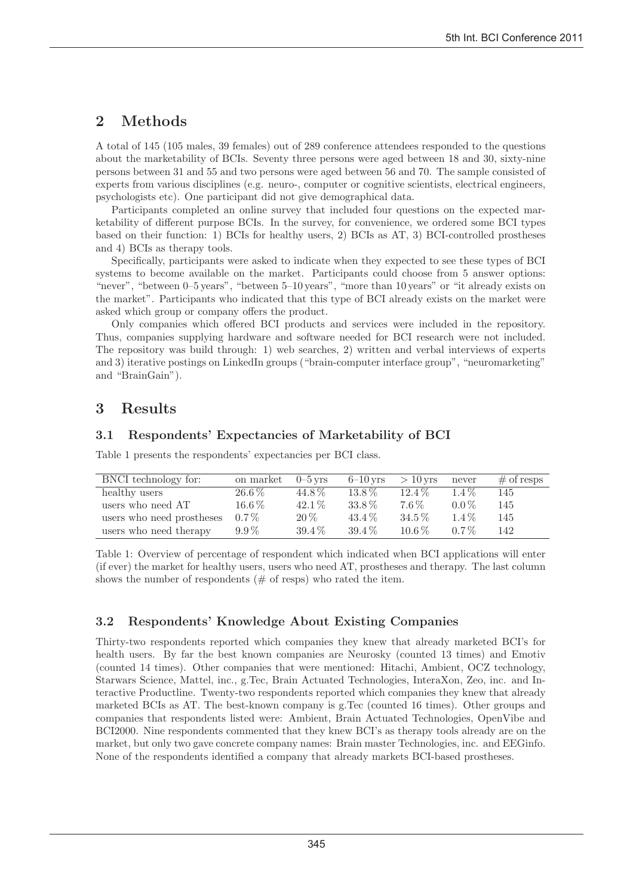# 2 Methods

A total of 145 (105 males, 39 females) out of 289 conference attendees responded to the questions about the marketability of BCIs. Seventy three persons were aged between 18 and 30, sixty-nine persons between 31 and 55 and two persons were aged between 56 and 70. The sample consisted of experts from various disciplines (e.g. neuro-, computer or cognitive scientists, electrical engineers, psychologists etc). One participant did not give demographical data.

Participants completed an online survey that included four questions on the expected marketability of different purpose BCIs. In the survey, for convenience, we ordered some BCI types based on their function: 1) BCIs for healthy users, 2) BCIs as AT, 3) BCI-controlled prostheses and 4) BCIs as therapy tools.

Specifically, participants were asked to indicate when they expected to see these types of BCI systems to become available on the market. Participants could choose from 5 answer options: "never", "between 0–5 years", "between 5–10 years", "more than 10 years" or "it already exists on the market". Participants who indicated that this type of BCI already exists on the market were asked which group or company offers the product.

Only companies which offered BCI products and services were included in the repository. Thus, companies supplying hardware and software needed for BCI research were not included. The repository was build through: 1) web searches, 2) written and verbal interviews of experts and 3) iterative postings on LinkedIn groups ("brain-computer interface group", "neuromarketing" and "BrainGain").

## 3 Results

#### 3.1 Respondents' Expectancies of Marketability of BCI

Table 1 presents the respondents' expectancies per BCI class.

| BNCI technology for:      | on market  | $0 - 5$ vrs | $6-10$ yrs | $>10$ vrs | never   | $\#$ of resps |
|---------------------------|------------|-------------|------------|-----------|---------|---------------|
| healthy users             | $26.6\,\%$ | 44.8%       | $13.8\%$   | $12.4\%$  | $1.4\%$ | 145           |
| users who need AT         | $16.6\,\%$ | $42.1\%$    | 33.8%      | 7.6%      | $0.0\%$ | 145           |
| users who need prostheses | $0.7\%$    | $20\,\%$    | $43.4\%$   | $34.5\%$  | $1.4\%$ | 145           |
| users who need therapy    | $9.9\%$    | $39.4\%$    | $39.4\%$   | $10.6\%$  | $0.7\%$ | 142           |

Table 1: Overview of percentage of respondent which indicated when BCI applications will enter (if ever) the market for healthy users, users who need AT, prostheses and therapy. The last column shows the number of respondents  $(\# \text{ of } resps)$  who rated the item.

#### 3.2 Respondents' Knowledge About Existing Companies

Thirty-two respondents reported which companies they knew that already marketed BCI's for health users. By far the best known companies are Neurosky (counted 13 times) and Emotiv (counted 14 times). Other companies that were mentioned: Hitachi, Ambient, OCZ technology, Starwars Science, Mattel, inc., g.Tec, Brain Actuated Technologies, InteraXon, Zeo, inc. and Interactive Productline. Twenty-two respondents reported which companies they knew that already marketed BCIs as AT. The best-known company is g.Tec (counted 16 times). Other groups and companies that respondents listed were: Ambient, Brain Actuated Technologies, OpenVibe and BCI2000. Nine respondents commented that they knew BCI's as therapy tools already are on the market, but only two gave concrete company names: Brain master Technologies, inc. and EEGinfo. None of the respondents identified a company that already markets BCI-based prostheses.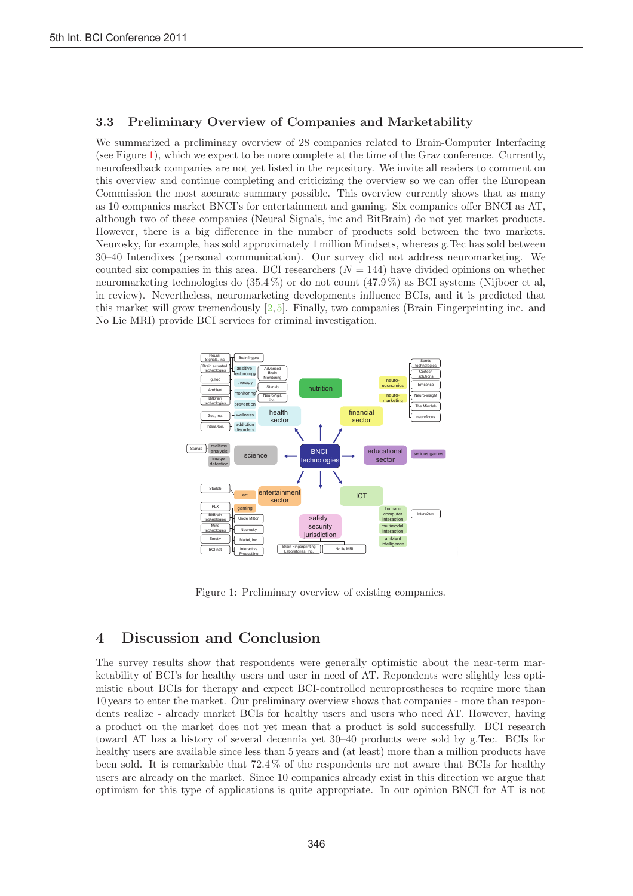#### 3.3 Preliminary Overview of Companies and Marketability

We summarized a preliminary overview of 28 companies related to Brain-Computer Interfacing (see Figure 1), which we expect to be more complete at the time of the Graz conference. Currently, neurofeedback companies are not yet listed in the repository. We invite all readers to comment on this overview and continue completing and criticizing the overview so we can offer the European Commission the most accurate summary possible. This overview currently shows that as many as 10 companies market BNCI's for entertainment and gaming. Six companies offer BNCI as AT, although two of these companies (Neural Signals, inc and BitBrain) do not yet market products. However, there is a big difference in the number of products sold between the two markets. Neurosky, for example, has sold approximately 1 million Mindsets, whereas g.Tec has sold between 30–40 Intendixes (personal communication). Our survey did not address neuromarketing. We counted six companies in this area. BCI researchers  $(N = 144)$  have divided opinions on whether neuromarketing technologies do (35.4 %) or do not count (47.9 %) as BCI systems (Nijboer et al, in review). Nevertheless, neuromarketing developments influence BCIs, and it is predicted that this market will grow tremendously  $[2, 5]$ . Finally, two companies (Brain Fingerprinting inc. and No Lie MRI) provide BCI services for criminal investigation.



Figure 1: Preliminary overview of existing companies.

# 4 Discussion and Conclusion

The survey results show that respondents were generally optimistic about the near-term marketability of BCI's for healthy users and user in need of AT. Repondents were slightly less optimistic about BCIs for therapy and expect BCI-controlled neuroprostheses to require more than 10 years to enter the market. Our preliminary overview shows that companies - more than respondents realize - already market BCIs for healthy users and users who need AT. However, having a product on the market does not yet mean that a product is sold successfully. BCI research toward AT has a history of several decennia yet 30–40 products were sold by g.Tec. BCIs for healthy users are available since less than 5 years and (at least) more than a million products have been sold. It is remarkable that 72.4 % of the respondents are not aware that BCIs for healthy users are already on the market. Since 10 companies already exist in this direction we argue that optimism for this type of applications is quite appropriate. In our opinion BNCI for AT is not